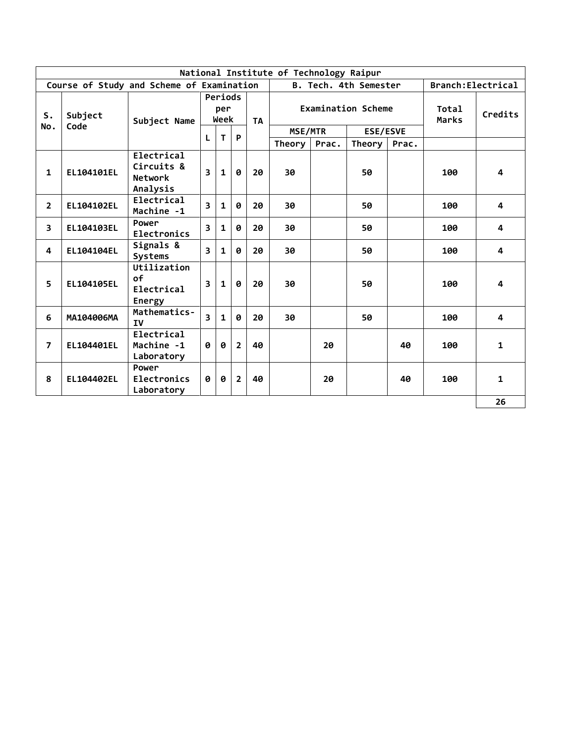| National Institute of Technology Raipur |            |                                                        |                         |                        |                |           |         |       |                           |       |                       |              |
|-----------------------------------------|------------|--------------------------------------------------------|-------------------------|------------------------|----------------|-----------|---------|-------|---------------------------|-------|-----------------------|--------------|
|                                         |            | Course of Study and Scheme of Examination              |                         |                        |                |           |         |       | B. Tech. 4th Semester     |       | Branch: Electrical    |              |
| S.                                      | Subject    | Subject Name                                           |                         | Periods<br>per<br>Week |                | <b>TA</b> |         |       | <b>Examination Scheme</b> |       | Total<br><b>Marks</b> | Credits      |
| No.                                     | Code       |                                                        |                         |                        |                |           | MSE/MTR |       | <b>ESE/ESVE</b>           |       |                       |              |
|                                         |            |                                                        | L                       | $\mathbf T$            | P              |           | Theory  | Prac. | Theory                    | Prac. |                       |              |
| $\mathbf{1}$                            | EL104101EL | Electrical<br>Circuits &<br><b>Network</b><br>Analysis | $\overline{\mathbf{3}}$ | $\mathbf{1}$           | 0              | 20        | 30      |       | 50                        |       | 100                   | 4            |
| $\overline{2}$                          | EL104102EL | Electrical<br>Machine -1                               | 3                       | 1                      | 0              | 20        | 30      |       | 50                        |       | 100                   | 4            |
| 3                                       | EL104103EL | Power<br>Electronics                                   | 3                       | 1                      | Ø              | 20        | 30      |       | 50                        |       | 100                   | 4            |
| 4                                       | EL104104EL | Signals &<br><b>Systems</b>                            | $\overline{\mathbf{3}}$ | 1                      | Ø              | 20        | 30      |       | 50                        |       | 100                   | 4            |
| 5.                                      | EL104105EL | Utilization<br>o <sub>f</sub><br>Electrical<br>Energy  | 3                       | 1                      | 0              | 20        | 30      |       | 50                        |       | 100                   | 4            |
| 6                                       | MA104006MA | Mathematics-<br><b>IV</b>                              | $\overline{\mathbf{3}}$ | $\mathbf{1}$           | Ø              | 20        | 30      |       | 50                        |       | 100                   | 4            |
| $\overline{7}$                          | EL104401EL | Electrical<br>Machine -1<br>Laboratory                 | 0                       | ø                      | $\overline{2}$ | 40        |         | 20    |                           | 40    | 100                   | $\mathbf{1}$ |
| 8                                       | EL104402EL | Power<br>Electronics<br>Laboratory                     | 0                       | 0                      | $\overline{2}$ | 40        |         | 20    |                           | 40    | 100                   | $\mathbf{1}$ |
|                                         |            |                                                        |                         |                        |                |           |         |       |                           |       |                       | 26           |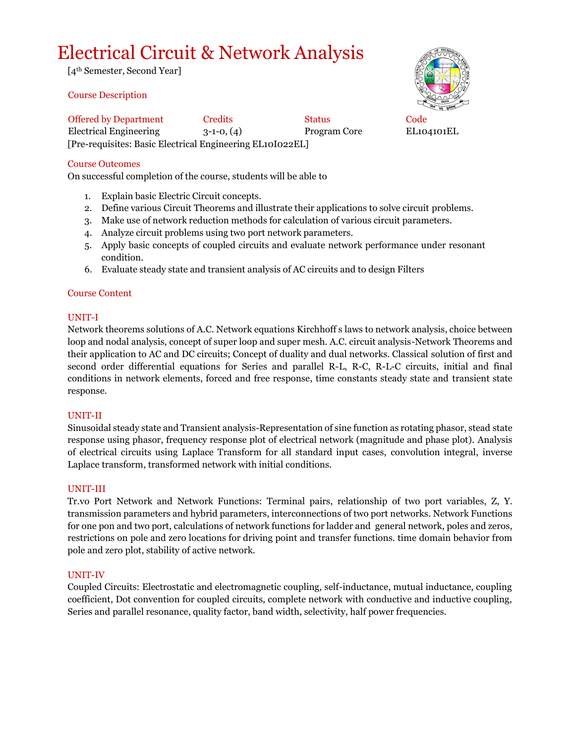# Electrical Circuit & Network Analysis

[4th Semester, Second Year]

#### Course Description

Offered by Department Credits Status Code Electrical Engineering 3-1-0, (4) Program Core EL104101EL [Pre-requisites: Basic Electrical Engineering EL10I022EL]

#### Course Outcomes

On successful completion of the course, students will be able to

- 1. Explain basic Electric Circuit concepts.
- 2. Define various Circuit Theorems and illustrate their applications to solve circuit problems.
- 3. Make use of network reduction methods for calculation of various circuit parameters.
- 4. Analyze circuit problems using two port network parameters.
- 5. Apply basic concepts of coupled circuits and evaluate network performance under resonant condition.
- 6. Evaluate steady state and transient analysis of AC circuits and to design Filters

#### Course Content

#### UNIT-I

Network theorems solutions of A.C. Network equations Kirchhoff s laws to network analysis, choice between loop and nodal analysis, concept of super loop and super mesh. A.C. circuit analysis-Network Theorems and their application to AC and DC circuits; Concept of duality and dual networks. Classical solution of first and second order differential equations for Series and parallel R-L, R-C, R-L-C circuits, initial and final conditions in network elements, forced and free response, time constants steady state and transient state response.

#### UNIT-II

Sinusoidal steady state and Transient analysis-Representation of sine function as rotating phasor, stead state response using phasor, frequency response plot of electrical network (magnitude and phase plot). Analysis of electrical circuits using Laplace Transform for all standard input cases, convolution integral, inverse Laplace transform, transformed network with initial conditions.

#### UNIT-III

Tr.vo Port Network and Network Functions: Terminal pairs, relationship of two port variables, Z, Y. transmission parameters and hybrid parameters, interconnections of two port networks. Network Functions for one pon and two port, calculations of network functions for ladder and general network, poles and zeros, restrictions on pole and zero locations for driving point and transfer functions. time domain behavior from pole and zero plot, stability of active network.

#### UNIT-IV

Coupled Circuits: Electrostatic and electromagnetic coupling, self-inductance, mutual inductance, coupling coefficient, Dot convention for coupled circuits, complete network with conductive and inductive coupling, Series and parallel resonance, quality factor, band width, selectivity, half power frequencies.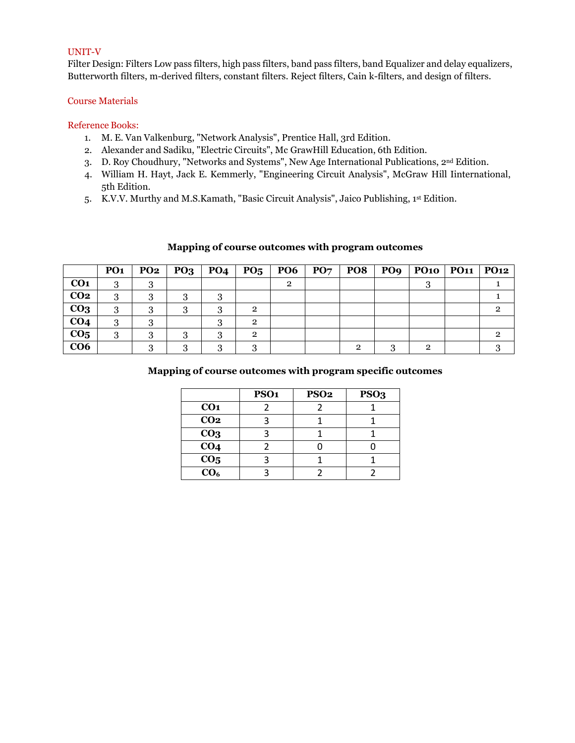#### UNIT-V

Filter Design: Filters Low pass filters, high pass filters, band pass filters, band Equalizer and delay equalizers, Butterworth filters, m-derived filters, constant filters. Reject filters, Cain k-filters, and design of filters.

#### Course Materials

#### Reference Books:

- 1. M. E. Van Valkenburg, "Network Analysis", Prentice Hall, 3rd Edition.
- 2. Alexander and Sadiku, "Electric Circuits", Mc GrawHill Education, 6th Edition.
- 3. D. Roy Choudhury, "Networks and Systems", New Age International Publications, 2nd Edition.
- 4. William H. Hayt, Jack E. Kemmerly, "Engineering Circuit Analysis", McGraw Hill Iinternational, 5th Edition.
- 5. K.V.V. Murthy and M.S.Kamath, "Basic Circuit Analysis", Jaico Publishing, 1 st Edition.

#### **Mapping of course outcomes with program outcomes**

|                 | PO <sub>1</sub> | <b>PO2</b> | $PQ3$ $PQ4$ | PO <sub>5</sub> | <b>PO6</b> | $\vert$ PO7 $\vert$ | <b>PO8</b> | PO9   PO10   PO11   PO12 |  |
|-----------------|-----------------|------------|-------------|-----------------|------------|---------------------|------------|--------------------------|--|
| CO <sub>1</sub> | 3               | റ          |             |                 | 2          |                     |            |                          |  |
| CO <sub>2</sub> | 3               | 0          |             |                 |            |                     |            |                          |  |
| CO <sub>3</sub> | 3               |            |             | $\overline{2}$  |            |                     |            |                          |  |
| CO <sub>4</sub> | 3               |            |             | $\overline{2}$  |            |                     |            |                          |  |
| CO <sub>5</sub> | 3               | 3          |             | $\overline{2}$  |            |                     |            |                          |  |
| CO6             |                 |            |             |                 |            |                     |            | റ                        |  |

|                                           | <b>PSO1</b> | <b>PSO2</b> | PSO <sub>3</sub> |
|-------------------------------------------|-------------|-------------|------------------|
| CO <sub>1</sub>                           |             |             |                  |
| CO <sub>2</sub>                           |             |             |                  |
| CO <sub>3</sub>                           |             |             |                  |
| CO <sub>4</sub>                           |             |             |                  |
| $\frac{\overline{CO_5}}{\overline{CO_6}}$ |             |             |                  |
|                                           |             |             |                  |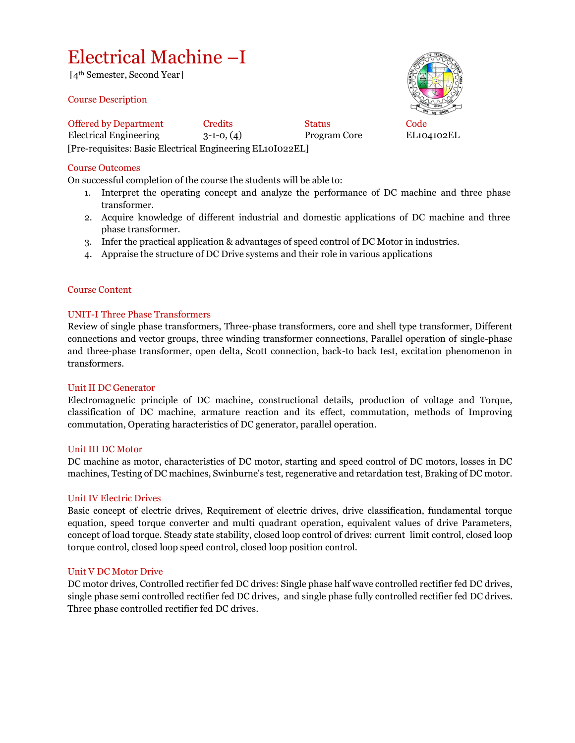## Electrical Machine –I

[4th Semester, Second Year]

#### Course Description

Offered by Department Credits Status Code Electrical Engineering 3-1-0, (4) Program Core EL104102EL [Pre-requisites: Basic Electrical Engineering EL10I022EL]

Course Outcomes

On successful completion of the course the students will be able to:

- 1. Interpret the operating concept and analyze the performance of DC machine and three phase transformer.
- 2. Acquire knowledge of different industrial and domestic applications of DC machine and three phase transformer.
- 3. Infer the practical application & advantages of speed control of DC Motor in industries.
- 4. Appraise the structure of DC Drive systems and their role in various applications

#### Course Content

#### UNIT-I Three Phase Transformers

Review of single phase transformers, Three-phase transformers, core and shell type transformer, Different connections and vector groups, three winding transformer connections, Parallel operation of single-phase and three-phase transformer, open delta, Scott connection, back-to back test, excitation phenomenon in transformers.

#### Unit II DC Generator

Electromagnetic principle of DC machine, constructional details, production of voltage and Torque, classification of DC machine, armature reaction and its effect, commutation, methods of Improving commutation, Operating haracteristics of DC generator, parallel operation.

#### Unit III DC Motor

DC machine as motor, characteristics of DC motor, starting and speed control of DC motors, losses in DC machines, Testing of DC machines, Swinburne's test, regenerative and retardation test, Braking of DC motor.

#### Unit IV Electric Drives

Basic concept of electric drives, Requirement of electric drives, drive classification, fundamental torque equation, speed torque converter and multi quadrant operation, equivalent values of drive Parameters, concept of load torque. Steady state stability, closed loop control of drives: current limit control, closed loop torque control, closed loop speed control, closed loop position control.

#### Unit V DC Motor Drive

DC motor drives, Controlled rectifier fed DC drives: Single phase half wave controlled rectifier fed DC drives, single phase semi controlled rectifier fed DC drives, and single phase fully controlled rectifier fed DC drives. Three phase controlled rectifier fed DC drives.

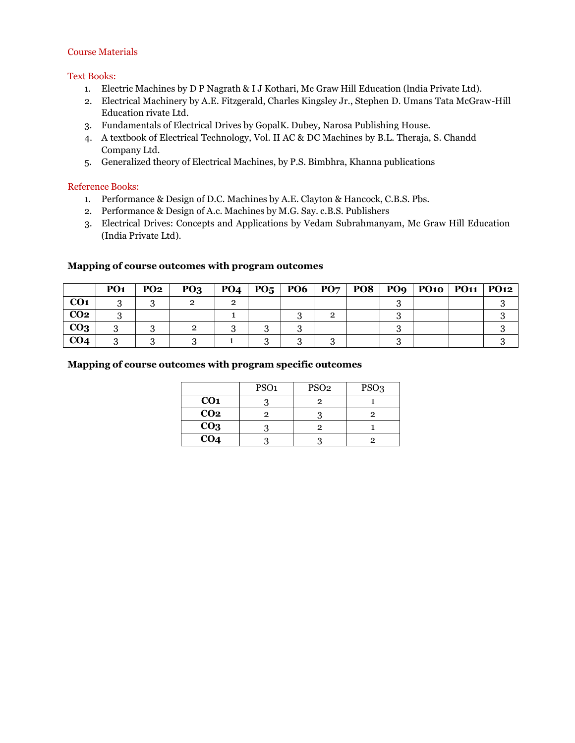#### Course Materials

#### Text Books:

- 1. Electric Machines by D P Nagrath & I J Kothari, Mc Graw Hill Education (lndia Private Ltd).
- 2. Electrical Machinery by A.E. Fitzgerald, Charles Kingsley Jr., Stephen D. Umans Tata McGraw-Hill Education rivate Ltd.
- 3. Fundamentals of Electrical Drives by GopalK. Dubey, Narosa Publishing House.
- 4. A textbook of Electrical Technology, Vol. II AC & DC Machines by B.L. Theraja, S. Chandd Company Ltd.
- 5. Generalized theory of Electrical Machines, by P.S. Bimbhra, Khanna publications

#### Reference Books:

- 1. Performance & Design of D.C. Machines by A.E. Clayton & Hancock, C.B.S. Pbs.
- 2. Performance & Design of A.c. Machines by M.G. Say. c.B.S. Publishers
- 3. Electrical Drives: Concepts and Applications by Vedam Subrahmanyam, Mc Graw Hill Education (India Private Ltd).

#### **Mapping of course outcomes with program outcomes**

|                 | PO <sub>1</sub> | <b>PO2</b> | PO <sub>3</sub> | PO4 | PO <sub>5</sub> |  |  | PO6   PO7   PO8   PO9   PO10   PO11   PO12 |  |
|-----------------|-----------------|------------|-----------------|-----|-----------------|--|--|--------------------------------------------|--|
| CO <sub>1</sub> |                 |            |                 |     |                 |  |  |                                            |  |
| CO <sub>2</sub> |                 |            |                 |     |                 |  |  |                                            |  |
| CO <sub>3</sub> |                 |            |                 |     |                 |  |  |                                            |  |
| CO <sub>4</sub> |                 |            |                 |     |                 |  |  |                                            |  |

|                 | PSO <sub>1</sub> | PSO <sub>2</sub> | PSO <sub>3</sub> |
|-----------------|------------------|------------------|------------------|
| CO <sub>1</sub> |                  |                  |                  |
| CO <sub>2</sub> |                  |                  |                  |
| CO <sub>3</sub> |                  |                  |                  |
| CO <sub>4</sub> |                  |                  |                  |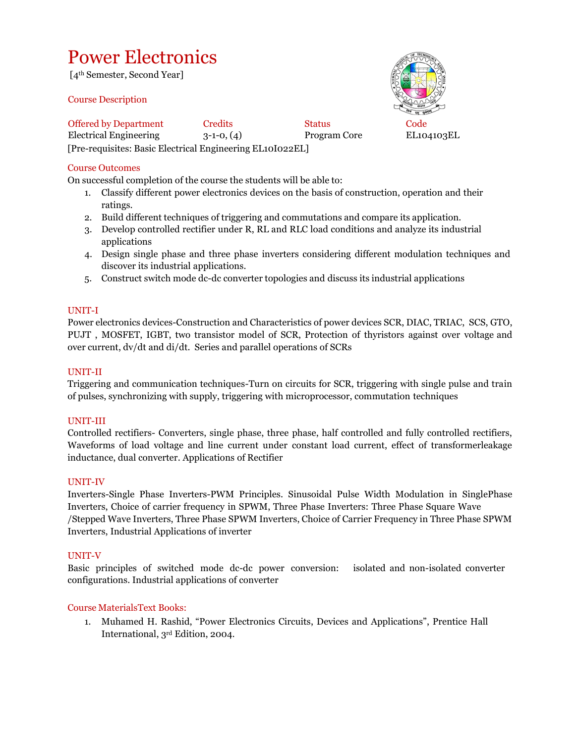# Power Electronics

[4th Semester, Second Year]

#### Course Description

Offered by Department Credits Status Code Electrical Engineering 3-1-0, (4) Program Core EL104103EL [Pre-requisites: Basic Electrical Engineering EL10I022EL]

Course Outcomes

On successful completion of the course the students will be able to:

- 1. Classify different power electronics devices on the basis of construction, operation and their ratings.
- 2. Build different techniques of triggering and commutations and compare its application.
- 3. Develop controlled rectifier under R, RL and RLC load conditions and analyze its industrial applications
- 4. Design single phase and three phase inverters considering different modulation techniques and discover its industrial applications.
- 5. Construct switch mode dc-dc converter topologies and discuss its industrial applications

#### UNIT-I

Power electronics devices-Construction and Characteristics of power devices SCR, DIAC, TRIAC, SCS, GTO, PUJT , MOSFET, IGBT, two transistor model of SCR, Protection of thyristors against over voltage and over current, dv/dt and di/dt. Series and parallel operations of SCRs

#### UNIT-II

Triggering and communication techniques-Turn on circuits for SCR, triggering with single pulse and train of pulses, synchronizing with supply, triggering with microprocessor, commutation techniques

#### UNIT-III

Controlled rectifiers- Converters, single phase, three phase, half controlled and fully controlled rectifiers, Waveforms of load voltage and line current under constant load current, effect of transformerleakage inductance, dual converter. Applications of Rectifier

#### UNIT-IV

Inverters-Single Phase Inverters-PWM Principles. Sinusoidal Pulse Width Modulation in SinglePhase Inverters, Choice of carrier frequency in SPWM, Three Phase Inverters: Three Phase Square Wave /Stepped Wave Inverters, Three Phase SPWM Inverters, Choice of Carrier Frequency in Three Phase SPWM Inverters, Industrial Applications of inverter

#### UNIT-V

Basic principles of switched mode dc-dc power conversion: isolated and non-isolated converter configurations. Industrial applications of converter

#### Course MaterialsText Books:

1. Muhamed H. Rashid, "Power Electronics Circuits, Devices and Applications", Prentice Hall International, 3rd Edition, 2004.

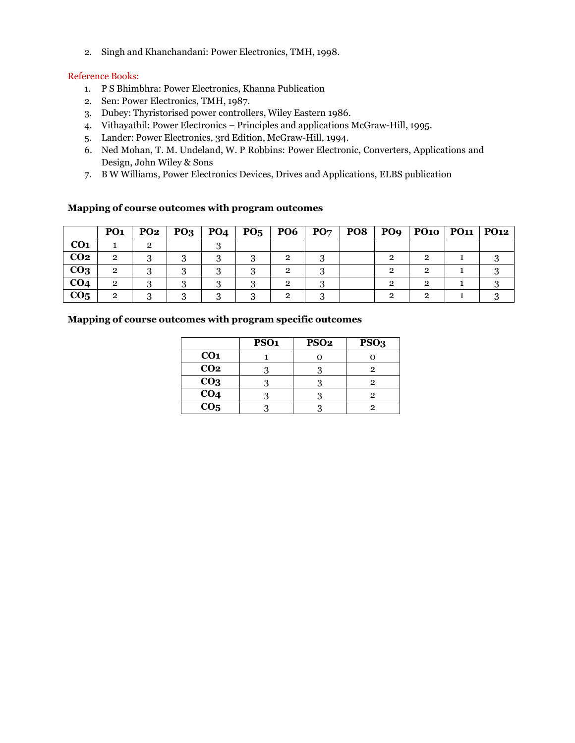2. Singh and Khanchandani: Power Electronics, TMH, 1998.

#### Reference Books:

- 1. P S Bhimbhra: Power Electronics, Khanna Publication
- 2. Sen: Power Electronics, TMH, 1987.
- 3. Dubey: Thyristorised power controllers, Wiley Eastern 1986.
- 4. Vithayathil: Power Electronics Principles and applications McGraw-Hill, 1995.
- 5. Lander: Power Electronics, 3rd Edition, McGraw-Hill, 1994.
- 6. Ned Mohan, T. M. Undeland, W. P Robbins: Power Electronic, Converters, Applications and Design, John Wiley & Sons
- 7. B W Williams, Power Electronics Devices, Drives and Applications, ELBS publication

#### **Mapping of course outcomes with program outcomes**

|                 | PO <sub>1</sub> | PQ <sub>2</sub> | PQ3 | PO <sub>4</sub> | $P_{05}$ | <b>PO6</b> | $\mathbf{P}\mathbf{O}\mathbf{7}$ | <b>PO8</b> |   | PO9   PO10   PO11   PO12 |  |
|-----------------|-----------------|-----------------|-----|-----------------|----------|------------|----------------------------------|------------|---|--------------------------|--|
| CO <sub>1</sub> |                 |                 |     |                 |          |            |                                  |            |   |                          |  |
| CO <sub>2</sub> | $\overline{2}$  |                 |     |                 |          |            |                                  |            |   | റ                        |  |
| CO <sub>3</sub> | $\mathbf{2}$    |                 |     |                 |          | റ          |                                  |            |   | റ                        |  |
| CO <sub>4</sub> | $\overline{2}$  |                 |     |                 |          | റ          |                                  |            | റ | റ                        |  |
| CO <sub>5</sub> | Ω               |                 |     |                 |          |            |                                  |            |   |                          |  |

|                   | PSO <sub>1</sub> | PSO <sub>2</sub> | PSO <sub>3</sub> |
|-------------------|------------------|------------------|------------------|
| CO <sub>1</sub>   |                  |                  |                  |
| CO <sub>2</sub>   |                  |                  |                  |
| CO <sub>3</sub>   |                  |                  |                  |
| $\overline{CO4}$  |                  |                  |                  |
| $\overline{CO_5}$ |                  |                  |                  |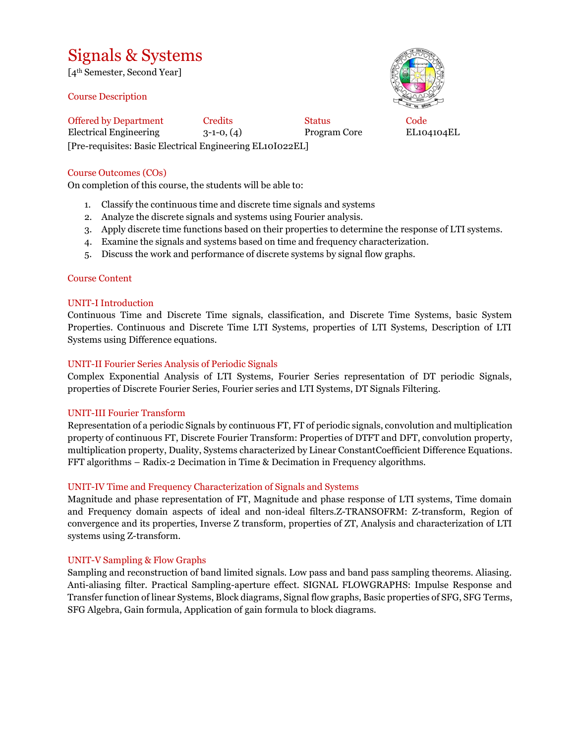### Signals & Systems

[4th Semester, Second Year]

Course Description

Offered by Department Credits Status Code Electrical Engineering 3-1-0, (4) Program Core EL104104EL [Pre-requisites: Basic Electrical Engineering EL10I022EL]

#### Course Outcomes (COs)

On completion of this course, the students will be able to:

- 1. Classify the continuous time and discrete time signals and systems
- 2. Analyze the discrete signals and systems using Fourier analysis.
- 3. Apply discrete time functions based on their properties to determine the response of LTI systems.
- 4. Examine the signals and systems based on time and frequency characterization.
- 5. Discuss the work and performance of discrete systems by signal flow graphs.

#### Course Content

#### UNIT-I Introduction

Continuous Time and Discrete Time signals, classification, and Discrete Time Systems, basic System Properties. Continuous and Discrete Time LTI Systems, properties of LTI Systems, Description of LTI Systems using Difference equations.

#### UNIT-II Fourier Series Analysis of Periodic Signals

Complex Exponential Analysis of LTI Systems, Fourier Series representation of DT periodic Signals, properties of Discrete Fourier Series, Fourier series and LTI Systems, DT Signals Filtering.

#### UNIT-III Fourier Transform

Representation of a periodic Signals by continuous FT, FT of periodic signals, convolution and multiplication property of continuous FT, Discrete Fourier Transform: Properties of DTFT and DFT, convolution property, multiplication property, Duality, Systems characterized by Linear ConstantCoefficient Difference Equations. FFT algorithms – Radix-2 Decimation in Time & Decimation in Frequency algorithms.

#### UNIT-IV Time and Frequency Characterization of Signals and Systems

Magnitude and phase representation of FT, Magnitude and phase response of LTI systems, Time domain and Frequency domain aspects of ideal and non-ideal filters.Z-TRANSOFRM: Z-transform, Region of convergence and its properties, Inverse Z transform, properties of ZT, Analysis and characterization of LTI systems using Z-transform.

#### UNIT-V Sampling & Flow Graphs

Sampling and reconstruction of band limited signals. Low pass and band pass sampling theorems. Aliasing. Anti-aliasing filter. Practical Sampling-aperture effect. SIGNAL FLOWGRAPHS: Impulse Response and Transfer function of linear Systems, Block diagrams, Signal flow graphs, Basic properties of SFG, SFG Terms, SFG Algebra, Gain formula, Application of gain formula to block diagrams.

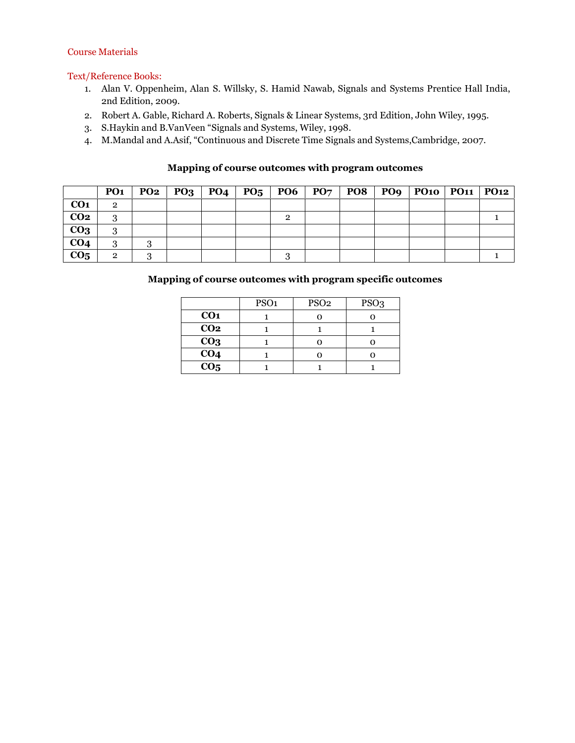#### Course Materials

#### Text/Reference Books:

- 1. Alan V. Oppenheim, Alan S. Willsky, S. Hamid Nawab, Signals and Systems Prentice Hall India, 2nd Edition, 2009.
- 2. Robert A. Gable, Richard A. Roberts, Signals & Linear Systems, 3rd Edition, John Wiley, 1995.
- 3. S.Haykin and B.VanVeen "Signals and Systems, Wiley, 1998.
- 4. M.Mandal and A.Asif, "Continuous and Discrete Time Signals and Systems,Cambridge, 2007.

#### **Mapping of course outcomes with program outcomes**

|                 | PO1            |  |  |  |  | $PQ2   PQ3   PQ4   PQ5   PQ6   PQ7   PQ8   PQ9   PQ10   PQ11   PQ12$ |  |
|-----------------|----------------|--|--|--|--|----------------------------------------------------------------------|--|
| CO <sub>1</sub> | $\overline{2}$ |  |  |  |  |                                                                      |  |
| CO <sub>2</sub> | 3              |  |  |  |  |                                                                      |  |
| CO <sub>3</sub> | 3              |  |  |  |  |                                                                      |  |
| CO <sub>4</sub> | 3              |  |  |  |  |                                                                      |  |
| CO <sub>5</sub> | $\overline{2}$ |  |  |  |  |                                                                      |  |

|                  | PSO <sub>1</sub> | PSO <sub>2</sub> | PSO <sub>3</sub> |
|------------------|------------------|------------------|------------------|
| CO <sub>1</sub>  |                  |                  |                  |
| CO <sub>2</sub>  |                  |                  |                  |
| CO <sub>3</sub>  |                  |                  |                  |
| $\overline{CO4}$ |                  |                  |                  |
| CO <sub>5</sub>  |                  |                  |                  |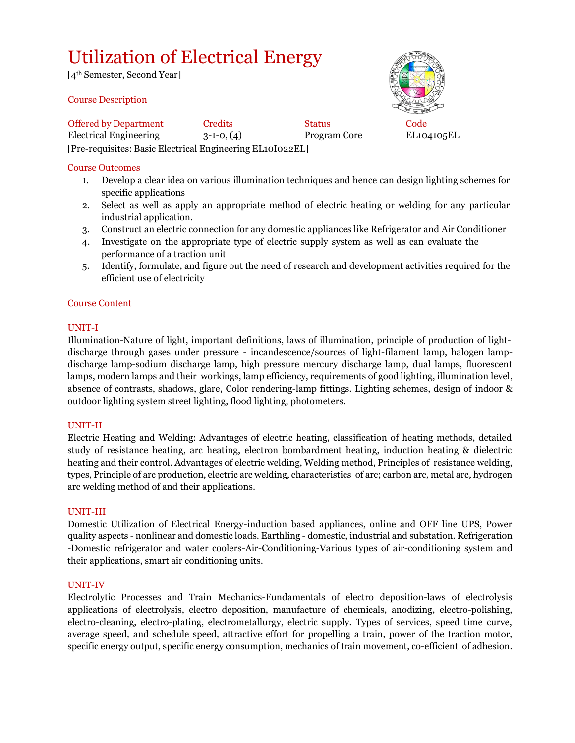# Utilization of Electrical Energy

[4th Semester, Second Year]

#### Course Description

Offered by Department Credits Status Code Electrical Engineering 3-1-0, (4) Program Core EL104105EL [Pre-requisites: Basic Electrical Engineering EL10I022EL]

#### Course Outcomes

- 1. Develop a clear idea on various illumination techniques and hence can design lighting schemes for specific applications
- 2. Select as well as apply an appropriate method of electric heating or welding for any particular industrial application.
- 3. Construct an electric connection for any domestic appliances like Refrigerator and Air Conditioner
- 4. Investigate on the appropriate type of electric supply system as well as can evaluate the performance of a traction unit
- 5. Identify, formulate, and figure out the need of research and development activities required for the efficient use of electricity

#### Course Content

#### UNIT-I

Illumination-Nature of light, important definitions, laws of illumination, principle of production of lightdischarge through gases under pressure - incandescence/sources of light-filament lamp, halogen lampdischarge lamp-sodium discharge lamp, high pressure mercury discharge lamp, dual lamps, fluorescent lamps, modern lamps and their workings, lamp efficiency, requirements of good lighting, illumination level, absence of contrasts, shadows, glare, Color rendering-lamp fittings. Lighting schemes, design of indoor & outdoor lighting system street lighting, flood lighting, photometers.

#### UNIT-II

Electric Heating and Welding: Advantages of electric heating, classification of heating methods, detailed study of resistance heating, arc heating, electron bombardment heating, induction heating & dielectric heating and their control. Advantages of electric welding, Welding method, Principles of resistance welding, types, Principle of arc production, electric arc welding, characteristics of arc; carbon arc, metal arc, hydrogen arc welding method of and their applications.

#### UNIT-III

Domestic Utilization of Electrical Energy-induction based appliances, online and OFF line UPS, Power quality aspects - nonlinear and domestic loads. Earthling - domestic, industrial and substation. Refrigeration -Domestic refrigerator and water coolers-Air-Conditioning-Various types of air-conditioning system and their applications, smart air conditioning units.

#### UNIT-IV

Electrolytic Processes and Train Mechanics-Fundamentals of electro deposition-laws of electrolysis applications of electrolysis, electro deposition, manufacture of chemicals, anodizing, electro-polishing, electro-cleaning, electro-plating, electrometallurgy, electric supply. Types of services, speed time curve, average speed, and schedule speed, attractive effort for propelling a train, power of the traction motor, specific energy output, specific energy consumption, mechanics of train movement, co-efficient of adhesion.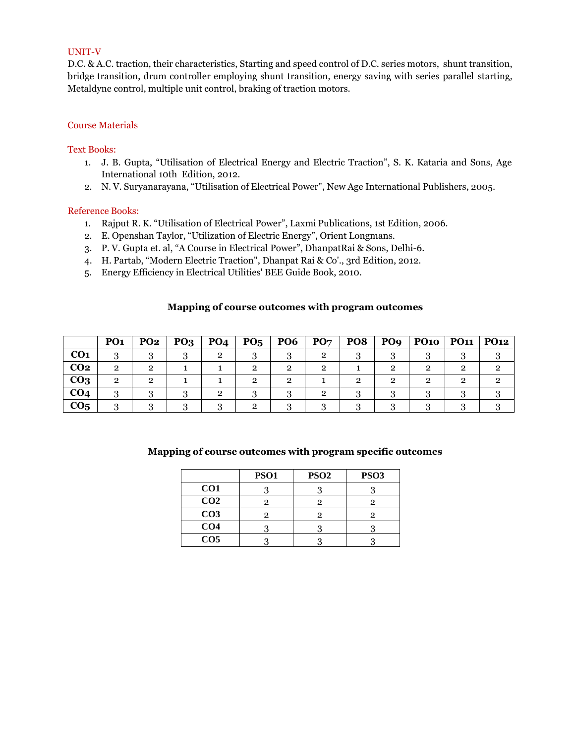#### UNIT-V

D.C. & A.C. traction, their characteristics, Starting and speed control of D.C. series motors, shunt transition, bridge transition, drum controller employing shunt transition, energy saving with series parallel starting, Metaldyne control, multiple unit control, braking of traction motors.

#### Course Materials

#### Text Books:

- 1. J. B. Gupta, "Utilisation of Electrical Energy and Electric Traction", S. K. Kataria and Sons, Age International 10th Edition, 2012.
- 2. N. V. Suryanarayana, "Utilisation of Electrical Power", New Age International Publishers, 2005.

#### Reference Books:

- 1. Rajput R. K. "Utilisation of Electrical Power", Laxmi Publications, 1st Edition, 2006.
- 2. E. Openshan Taylor, "Utilization of Electric Energy", Orient Longmans.
- 3. P. V. Gupta et. al, "A Course in Electrical Power", DhanpatRai & Sons, Delhi-6.
- 4. H. Partab, "Modern Electric Traction", Dhanpat Rai & Co'., 3rd Edition, 2012.
- 5. Energy Efficiency in Electrical Utilities' BEE Guide Book, 2010.

#### **Mapping of course outcomes with program outcomes**

|                 | PO <sub>1</sub> | <b>PO2</b> | PO <sub>3</sub> | <b>PO4</b> | $P_{05}$ | <b>PO6</b> | PO <sub>7</sub> | PO <sub>8</sub> | PO <sub>9</sub> | <b>PO10</b> | <b>PO11</b> | PQ12 |
|-----------------|-----------------|------------|-----------------|------------|----------|------------|-----------------|-----------------|-----------------|-------------|-------------|------|
| CO <sub>1</sub> |                 |            |                 | 2          |          |            | ົ               |                 |                 |             |             |      |
| CO <sub>2</sub> | ົ               |            |                 |            |          | റ          | ົ               |                 | ົ               | 2           | ົ           |      |
| CO <sub>3</sub> | ົ               |            |                 |            |          | റ          |                 |                 | ົ               | റ           |             |      |
| CO <sub>4</sub> |                 |            |                 | റ          |          |            |                 |                 |                 |             |             |      |
| CO <sub>5</sub> |                 |            |                 |            |          |            |                 |                 |                 |             |             |      |

|                 | <b>PSO1</b> | PSO <sub>2</sub> | <b>PSO3</b> |
|-----------------|-------------|------------------|-------------|
| CO <sub>1</sub> |             |                  |             |
| CO <sub>2</sub> |             |                  |             |
| CO <sub>3</sub> | 2           | 2                |             |
| CO <sub>4</sub> |             |                  |             |
| CO <sub>5</sub> |             |                  |             |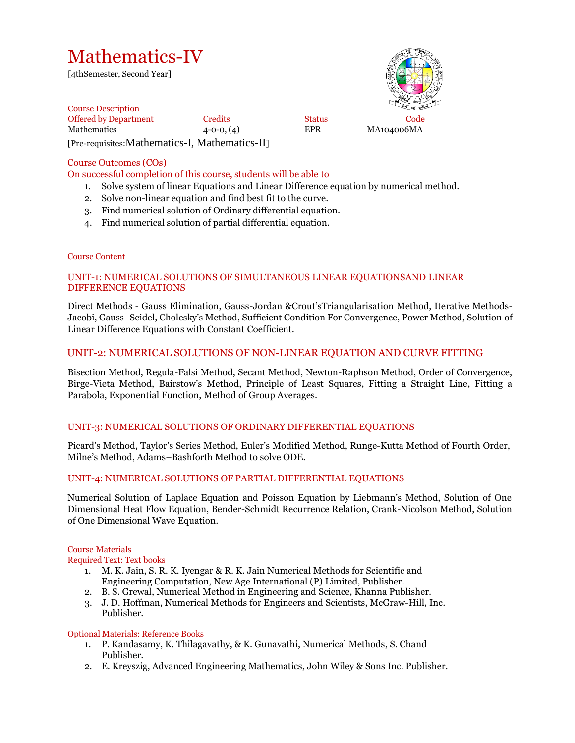# Mathematics-IV

[4thSemester, Second Year]



Course Description Offered by Department Credits Status Code Mathematics  $4-0-0, (4)$  EPR MA104006MA [Pre-requisites:Mathematics-I, Mathematics-II]

#### Course Outcomes (COs)

On successful completion of this course, students will be able to

- 1. Solve system of linear Equations and Linear Difference equation by numerical method.
- 2. Solve non-linear equation and find best fit to the curve.
- 3. Find numerical solution of Ordinary differential equation.
- 4. Find numerical solution of partial differential equation.

#### Course Content

#### UNIT-1: NUMERICAL SOLUTIONS OF SIMULTANEOUS LINEAR EQUATIONSAND LINEAR DIFFERENCE EQUATIONS

Direct Methods - Gauss Elimination, Gauss-Jordan &Crout'sTriangularisation Method, Iterative Methods-Jacobi, Gauss- Seidel, Cholesky's Method, Sufficient Condition For Convergence, Power Method, Solution of Linear Difference Equations with Constant Coefficient.

#### UNIT-2: NUMERICAL SOLUTIONS OF NON-LINEAR EQUATION AND CURVE FITTING

Bisection Method, Regula-Falsi Method, Secant Method, Newton-Raphson Method, Order of Convergence, Birge-Vieta Method, Bairstow's Method, Principle of Least Squares, Fitting a Straight Line, Fitting a Parabola, Exponential Function, Method of Group Averages.

#### UNIT-3: NUMERICAL SOLUTIONS OF ORDINARY DIFFERENTIAL EQUATIONS

Picard's Method, Taylor's Series Method, Euler's Modified Method, Runge-Kutta Method of Fourth Order, Milne's Method, Adams–Bashforth Method to solve ODE.

#### UNIT-4: NUMERICAL SOLUTIONS OF PARTIAL DIFFERENTIAL EQUATIONS

Numerical Solution of Laplace Equation and Poisson Equation by Liebmann's Method, Solution of One Dimensional Heat Flow Equation, Bender-Schmidt Recurrence Relation, Crank-Nicolson Method, Solution of One Dimensional Wave Equation.

#### Course Materials

#### Required Text: Text books

- 1. M. K. Jain, S. R. K. Iyengar & R. K. Jain Numerical Methods for Scientific and Engineering Computation, New Age International (P) Limited, Publisher.
- 2. B. S. Grewal, Numerical Method in Engineering and Science, Khanna Publisher.
- 3. J. D. Hoffman, Numerical Methods for Engineers and Scientists, McGraw-Hill, Inc. Publisher.

#### Optional Materials: Reference Books

- 1. P. Kandasamy, K. Thilagavathy, & K. Gunavathi, Numerical Methods, S. Chand Publisher.
- 2. E. Kreyszig, Advanced Engineering Mathematics, John Wiley & Sons Inc. Publisher.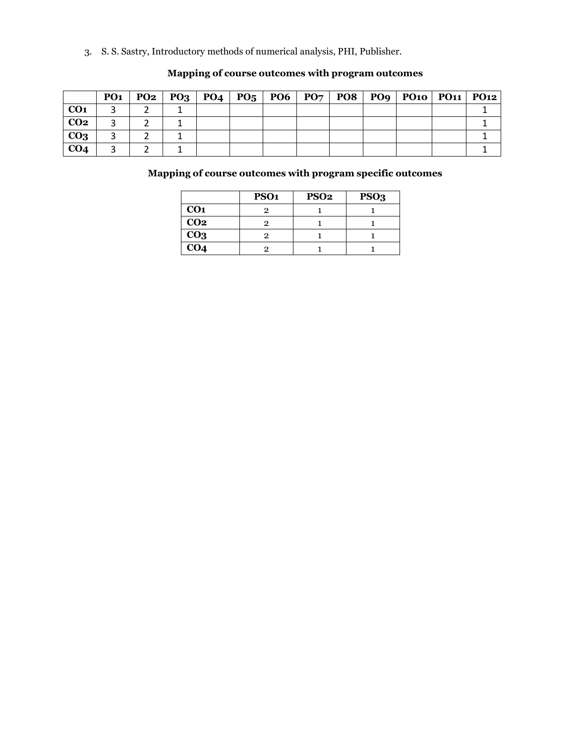3. S. S. Sastry, Introductory methods of numerical analysis, PHI, Publisher.

|                 | PO <sub>1</sub> | PO2   PO3   PO4 | P0 <sub>5</sub> | <b>PO6</b> | PO <sub>7</sub> |  | PO8   PO9   PO10   PO11   PO12 |  |
|-----------------|-----------------|-----------------|-----------------|------------|-----------------|--|--------------------------------|--|
| CO <sub>1</sub> |                 |                 |                 |            |                 |  |                                |  |
| CO <sub>2</sub> |                 |                 |                 |            |                 |  |                                |  |
| CO <sub>3</sub> |                 |                 |                 |            |                 |  |                                |  |
| CO <sub>4</sub> |                 |                 |                 |            |                 |  |                                |  |

#### **Mapping of course outcomes with program outcomes**

|                 | PSO <sub>1</sub> | PSO <sub>2</sub> | PSO <sub>3</sub> |
|-----------------|------------------|------------------|------------------|
| CO <sub>1</sub> |                  |                  |                  |
| CO <sub>2</sub> |                  |                  |                  |
| CO <sub>3</sub> |                  |                  |                  |
| CO <sub>4</sub> |                  |                  |                  |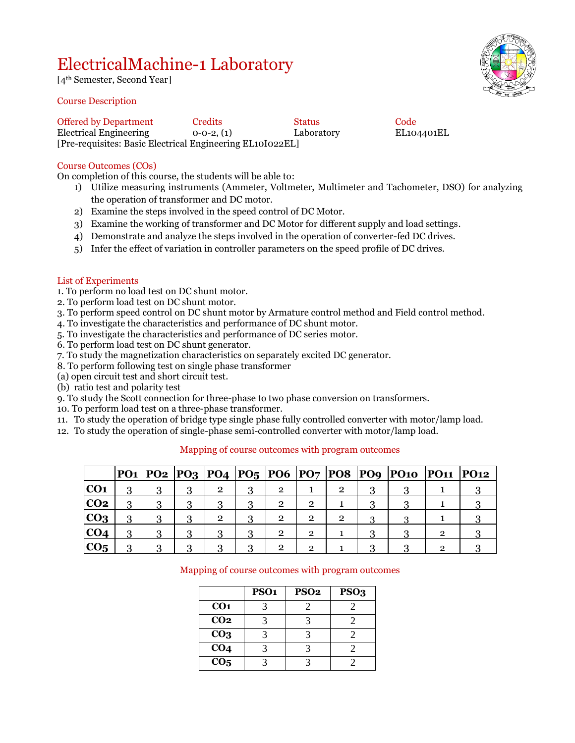### ElectricalMachine-1 Laboratory

[4th Semester, Second Year]

#### Course Description



Offered by Department Credits Status Code<br>
Electrical Engineering 0-0-2, (1) Laboratory EL104401EL Electrical Engineering 0-0-2, (1) Laboratory [Pre-requisites: Basic Electrical Engineering EL10I022EL]

#### Course Outcomes (COs)

On completion of this course, the students will be able to:

- 1) Utilize measuring instruments (Ammeter, Voltmeter, Multimeter and Tachometer, DSO) for analyzing the operation of transformer and DC motor.
- 2) Examine the steps involved in the speed control of DC Motor.
- 3) Examine the working of transformer and DC Motor for different supply and load settings.
- 4) Demonstrate and analyze the steps involved in the operation of converter-fed DC drives.
- 5) Infer the effect of variation in controller parameters on the speed profile of DC drives.

#### List of Experiments

- 1. To perform no load test on DC shunt motor.
- 2. To perform load test on DC shunt motor.
- 3. To perform speed control on DC shunt motor by Armature control method and Field control method.
- 4. To investigate the characteristics and performance of DC shunt motor.
- 5. To investigate the characteristics and performance of DC series motor.
- 6. To perform load test on DC shunt generator.
- 7. To study the magnetization characteristics on separately excited DC generator.
- 8. To perform following test on single phase transformer
- (a) open circuit test and short circuit test.
- (b) ratio test and polarity test
- 9. To study the Scott connection for three-phase to two phase conversion on transformers.
- 10. To perform load test on a three-phase transformer.
- 11. To study the operation of bridge type single phase fully controlled converter with motor/lamp load.
- 12. To study the operation of single-phase semi-controlled converter with motor/lamp load.

|                 |  |                |                |                |                |   | PO1  PO2  PO3  PO4  PO5  PO6  PO7  PO8  PO9  PO10  PO11  PO12 |   |  |
|-----------------|--|----------------|----------------|----------------|----------------|---|---------------------------------------------------------------|---|--|
| CO <sub>1</sub> |  | $\overline{2}$ | $\overline{2}$ |                | 2              |   |                                                               |   |  |
| CO <sub>2</sub> |  | વ              | $\overline{2}$ |                |                |   |                                                               |   |  |
| CO <sub>3</sub> |  | $\overline{2}$ | $\overline{2}$ | റ              | $\overline{2}$ | 0 |                                                               |   |  |
| CO <sub>4</sub> |  | વ              | $\overline{2}$ | $\overline{2}$ |                |   |                                                               | റ |  |
| CO <sub>5</sub> |  | റ              | റ              | റ              |                |   |                                                               |   |  |

#### Mapping of course outcomes with program outcomes

|                 | PSO <sub>1</sub> | <b>PSO2</b> | PSO <sub>3</sub> |
|-----------------|------------------|-------------|------------------|
| CO <sub>1</sub> |                  |             |                  |
| CO <sub>2</sub> |                  |             |                  |
| CO <sub>3</sub> |                  |             |                  |
| CO <sub>4</sub> |                  |             |                  |
| CO <sub>5</sub> |                  |             |                  |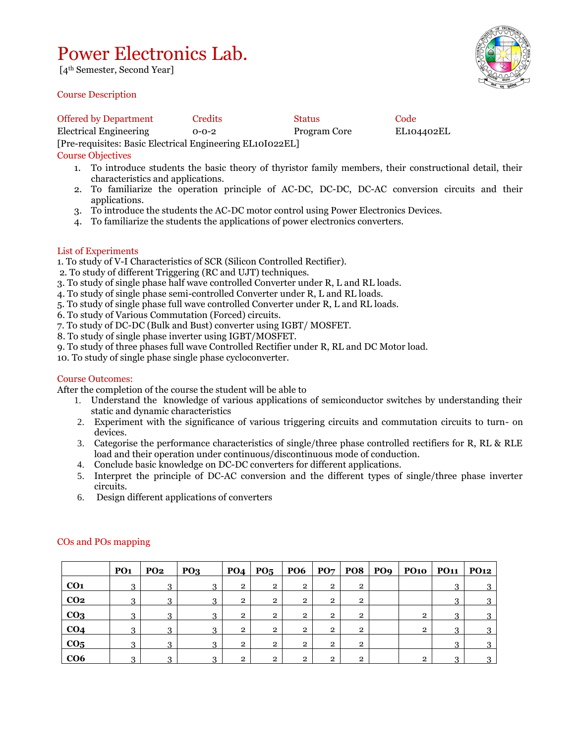### Power Electronics Lab.

[4th Semester, Second Year]

#### Course Description

Offered by Department Credits Status Code Electrical Engineering 0-0-2 Program Core EL104402EL [Pre-requisites: Basic Electrical Engineering EL10I022EL]

#### Course Objectives

- 1. To introduce students the basic theory of thyristor family members, their constructional detail, their characteristics and applications.
- 2. To familiarize the operation principle of AC-DC, DC-DC, DC-AC conversion circuits and their applications.
- 3. To introduce the students the AC-DC motor control using Power Electronics Devices.
- 4. To familiarize the students the applications of power electronics converters.

#### List of Experiments

1. To study of V-I Characteristics of SCR (Silicon Controlled Rectifier).

- 2. To study of different Triggering (RC and UJT) techniques.
- 3. To study of single phase half wave controlled Converter under R, L and RL loads.
- 4. To study of single phase semi-controlled Converter under R, L and RL loads.
- 5. To study of single phase full wave controlled Converter under R, L and RL loads.
- 6. To study of Various Commutation (Forced) circuits.
- 7. To study of DC-DC (Bulk and Bust) converter using IGBT/ MOSFET.
- 8. To study of single phase inverter using IGBT/MOSFET.
- 9. To study of three phases full wave Controlled Rectifier under R, RL and DC Motor load.
- 10. To study of single phase single phase cycloconverter.

#### Course Outcomes:

After the completion of the course the student will be able to

- 1. Understand the knowledge of various applications of semiconductor switches by understanding their static and dynamic characteristics
- 2. Experiment with the significance of various triggering circuits and commutation circuits to turn- on devices.
- 3. Categorise the performance characteristics of single/three phase controlled rectifiers for R, RL & RLE load and their operation under continuous/discontinuous mode of conduction.
- 4. Conclude basic knowledge on DC-DC converters for different applications.
- 5. Interpret the principle of DC-AC conversion and the different types of single/three phase inverter circuits.
- 6. Design different applications of converters

|                 | PO <sub>1</sub> | <b>PO2</b> | PQ <sub>3</sub> |                | $PO4$   $PO5$  | <b>PO6</b>     | PO7            | <b>PO8</b>     | PO <sub>9</sub> | PO10   PO11   PO12 |   |  |
|-----------------|-----------------|------------|-----------------|----------------|----------------|----------------|----------------|----------------|-----------------|--------------------|---|--|
| CO <sub>1</sub> | 3               | $\Omega$   | 3               | $\overline{2}$ | $\overline{2}$ | $\mathbf{2}$   | $\overline{2}$ | $\overline{2}$ |                 |                    | 3 |  |
| CO <sub>2</sub> | 3               | ◠          | 3               | $\overline{2}$ | $\mathbf{2}$   | $\overline{2}$ | $\overline{2}$ | $\overline{2}$ |                 |                    | ົ |  |
| CO <sub>3</sub> | 3               | 2          | 3               | $\mathbf{2}$   | $\overline{2}$ | $\overline{2}$ | $\overline{2}$ | $\overline{2}$ |                 | $\overline{2}$     | 3 |  |
| CO <sub>4</sub> | 3               | 3          | 3               | $\overline{2}$ | $\overline{2}$ | $\overline{2}$ | $\overline{2}$ | $\overline{2}$ |                 | $\mathbf{2}$       | 3 |  |
| CO <sub>5</sub> | 3               | റ          | 3               | $\overline{2}$ | $\overline{2}$ | $\overline{2}$ | $\overline{2}$ | $\overline{2}$ |                 |                    | റ |  |
| CO6             | ◠               |            | ີ               | $\mathfrak{D}$ | റ              | റ              | $\overline{2}$ | 2              |                 | റ                  | ◠ |  |

#### COs and POs mapping